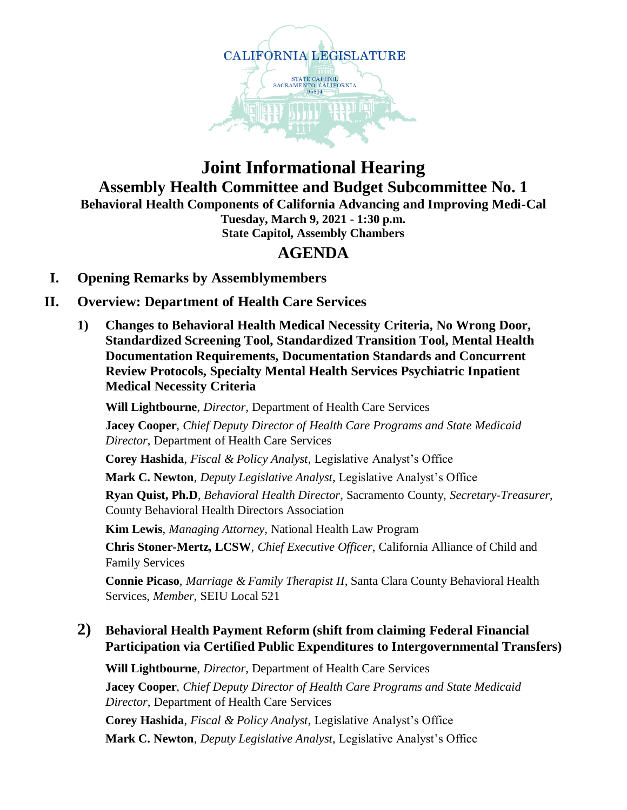

## **Joint Informational Hearing Assembly Health Committee and Budget Subcommittee No. 1 Behavioral Health Components of California Advancing and Improving Medi-Cal Tuesday, March 9, 2021 - 1:30 p.m. State Capitol, Assembly Chambers**

# **AGENDA**

## **I. Opening Remarks by Assemblymembers**

## **II. Overview: Department of Health Care Services**

**1) Changes to Behavioral Health Medical Necessity Criteria, No Wrong Door, Standardized Screening Tool, Standardized Transition Tool, Mental Health Documentation Requirements, Documentation Standards and Concurrent Review Protocols, Specialty Mental Health Services Psychiatric Inpatient Medical Necessity Criteria**

**Will Lightbourne**, *Director*, Department of Health Care Services

**Jacey Cooper**, *Chief Deputy Director of Health Care Programs and State Medicaid Director*, Department of Health Care Services

**Corey Hashida**, *Fiscal & Policy Analyst*, Legislative Analyst's Office

**Mark C. Newton**, *Deputy Legislative Analyst*, Legislative Analyst's Office

**Ryan Quist, Ph.D**, *Behavioral Health Director*, Sacramento County, *Secretary-Treasurer*, County Behavioral Health Directors Association

**Kim Lewis**, *Managing Attorney*, National Health Law Program

**Chris Stoner-Mertz, LCSW**, *Chief Executive Officer*, California Alliance of Child and Family Services

**Connie Picaso**, *Marriage & Family Therapist II*, Santa Clara County Behavioral Health Services, *Member*, SEIU Local 521

### **2) Behavioral Health Payment Reform (shift from claiming Federal Financial Participation via Certified Public Expenditures to Intergovernmental Transfers)**

**Will Lightbourne**, *Director*, Department of Health Care Services **Jacey Cooper**, *Chief Deputy Director of Health Care Programs and State Medicaid Director*, Department of Health Care Services **Corey Hashida**, *Fiscal & Policy Analyst*, Legislative Analyst's Office **Mark C. Newton**, *Deputy Legislative Analyst*, Legislative Analyst's Office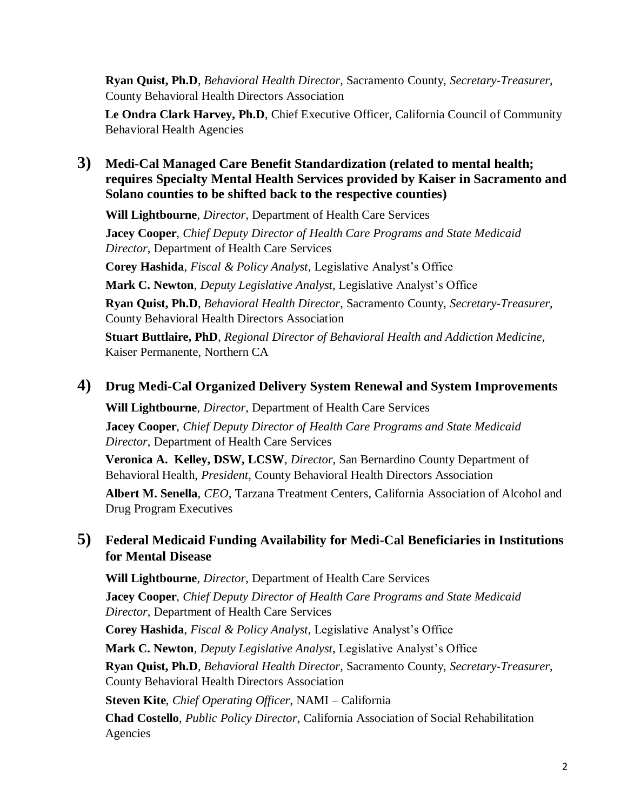**Ryan Quist, Ph.D**, *Behavioral Health Director*, Sacramento County, *Secretary-Treasurer*, County Behavioral Health Directors Association

**Le Ondra Clark Harvey, Ph.D**, Chief Executive Officer, California Council of Community Behavioral Health Agencies

### **3) Medi-Cal Managed Care Benefit Standardization (related to mental health; requires Specialty Mental Health Services provided by Kaiser in Sacramento and Solano counties to be shifted back to the respective counties)**

**Will Lightbourne**, *Director*, Department of Health Care Services

**Jacey Cooper**, *Chief Deputy Director of Health Care Programs and State Medicaid Director*, Department of Health Care Services

**Corey Hashida**, *Fiscal & Policy Analyst*, Legislative Analyst's Office

**Mark C. Newton**, *Deputy Legislative Analyst*, Legislative Analyst's Office

**Ryan Quist, Ph.D**, *Behavioral Health Director*, Sacramento County, *Secretary-Treasurer*, County Behavioral Health Directors Association

**Stuart Buttlaire, PhD**, *Regional Director of Behavioral Health and Addiction Medicine*, Kaiser Permanente, Northern CA

#### **4) Drug Medi-Cal Organized Delivery System Renewal and System Improvements**

**Will Lightbourne**, *Director*, Department of Health Care Services **Jacey Cooper**, *Chief Deputy Director of Health Care Programs and State Medicaid Director*, Department of Health Care Services

**Veronica A. Kelley, DSW, LCSW**, *Director*, San Bernardino County Department of Behavioral Health, *President*, County Behavioral Health Directors Association

**Albert M. Senella**, *CEO*, Tarzana Treatment Centers, California Association of Alcohol and Drug Program Executives

### **5) Federal Medicaid Funding Availability for Medi-Cal Beneficiaries in Institutions for Mental Disease**

**Will Lightbourne**, *Director*, Department of Health Care Services **Jacey Cooper**, *Chief Deputy Director of Health Care Programs and State Medicaid Director*, Department of Health Care Services **Corey Hashida**, *Fiscal & Policy Analyst*, Legislative Analyst's Office **Mark C. Newton**, *Deputy Legislative Analyst*, Legislative Analyst's Office **Ryan Quist, Ph.D**, *Behavioral Health Director*, Sacramento County, *Secretary-Treasurer*, County Behavioral Health Directors Association **Steven Kite**, *Chief Operating Officer*, NAMI – California **Chad Costello**, *Public Policy Director*, California Association of Social Rehabilitation Agencies